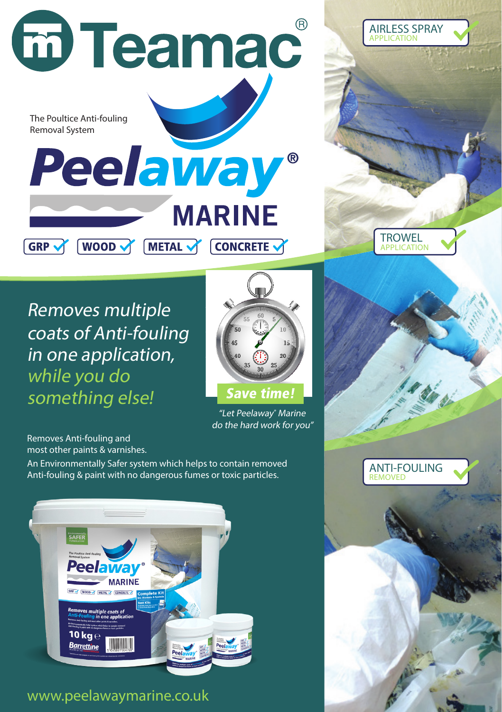



AIRLESS SPRAY APPLICATION

Removes multiple coats of Anti-fouling in one application, while you do something else!



"Let Peelaway® Marine do the hard work for you"

Removes Anti-fouling and most other paints & varnishes.

An Environmentally Safer system which helps to contain removed Anti-fouling & paint with no dangerous fumes or toxic particles.



www.peelawaymarine.co.uk